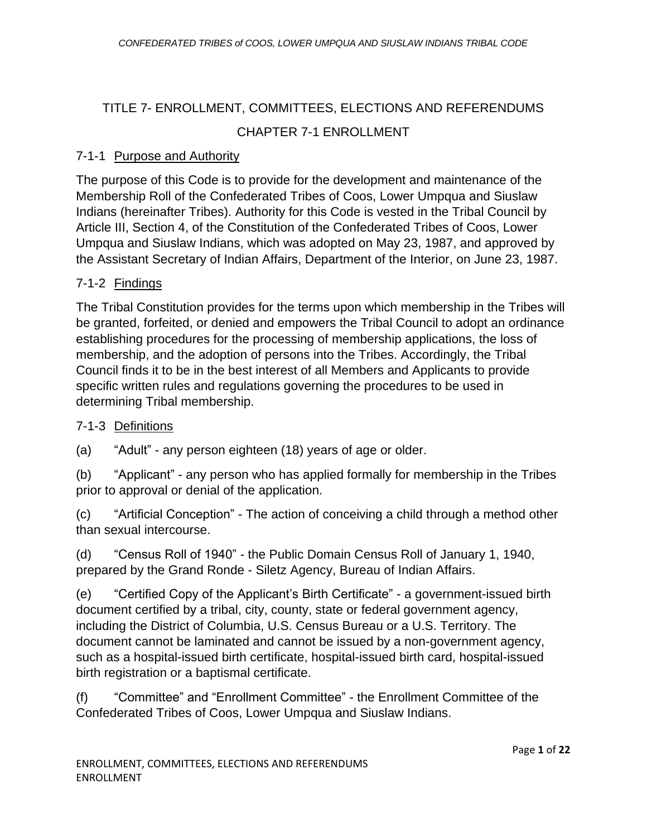# TITLE 7- ENROLLMENT, COMMITTEES, ELECTIONS AND REFERENDUMS CHAPTER 7-1 ENROLLMENT

#### 7-1-1 Purpose and Authority

The purpose of this Code is to provide for the development and maintenance of the Membership Roll of the Confederated Tribes of Coos, Lower Umpqua and Siuslaw Indians (hereinafter Tribes). Authority for this Code is vested in the Tribal Council by Article III, Section 4, of the Constitution of the Confederated Tribes of Coos, Lower Umpqua and Siuslaw Indians, which was adopted on May 23, 1987, and approved by the Assistant Secretary of Indian Affairs, Department of the Interior, on June 23, 1987.

## 7-1-2 Findings

The Tribal Constitution provides for the terms upon which membership in the Tribes will be granted, forfeited, or denied and empowers the Tribal Council to adopt an ordinance establishing procedures for the processing of membership applications, the loss of membership, and the adoption of persons into the Tribes. Accordingly, the Tribal Council finds it to be in the best interest of all Members and Applicants to provide specific written rules and regulations governing the procedures to be used in determining Tribal membership.

#### 7-1-3 Definitions

(a) "Adult" - any person eighteen (18) years of age or older.

(b) "Applicant" - any person who has applied formally for membership in the Tribes prior to approval or denial of the application.

(c) "Artificial Conception" - The action of conceiving a child through a method other than sexual intercourse.

(d) "Census Roll of 1940" - the Public Domain Census Roll of January 1, 1940, prepared by the Grand Ronde - Siletz Agency, Bureau of Indian Affairs.

(e) "Certified Copy of the Applicant's Birth Certificate" - a government-issued birth document certified by a tribal, city, county, state or federal government agency, including the District of Columbia, U.S. Census Bureau or a U.S. Territory. The document cannot be laminated and cannot be issued by a non-government agency, such as a hospital-issued birth certificate, hospital-issued birth card, hospital-issued birth registration or a baptismal certificate.

(f) "Committee" and "Enrollment Committee" - the Enrollment Committee of the Confederated Tribes of Coos, Lower Umpqua and Siuslaw Indians.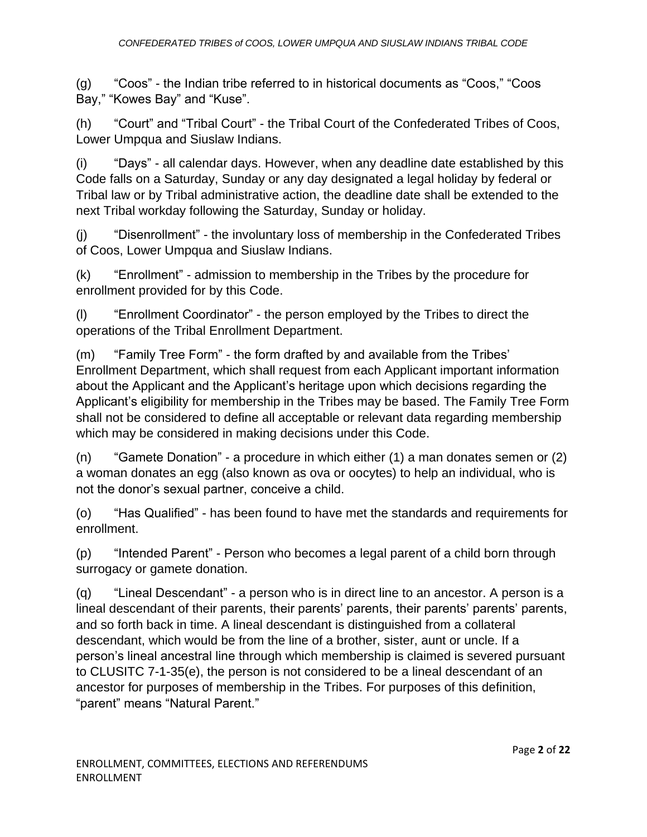(g) "Coos" - the Indian tribe referred to in historical documents as "Coos," "Coos Bay," "Kowes Bay" and "Kuse".

(h) "Court" and "Tribal Court" - the Tribal Court of the Confederated Tribes of Coos, Lower Umpqua and Siuslaw Indians.

(i) "Days" - all calendar days. However, when any deadline date established by this Code falls on a Saturday, Sunday or any day designated a legal holiday by federal or Tribal law or by Tribal administrative action, the deadline date shall be extended to the next Tribal workday following the Saturday, Sunday or holiday.

(j) "Disenrollment" - the involuntary loss of membership in the Confederated Tribes of Coos, Lower Umpqua and Siuslaw Indians.

(k) "Enrollment" - admission to membership in the Tribes by the procedure for enrollment provided for by this Code.

(l) "Enrollment Coordinator" - the person employed by the Tribes to direct the operations of the Tribal Enrollment Department.

(m) "Family Tree Form" - the form drafted by and available from the Tribes' Enrollment Department, which shall request from each Applicant important information about the Applicant and the Applicant's heritage upon which decisions regarding the Applicant's eligibility for membership in the Tribes may be based. The Family Tree Form shall not be considered to define all acceptable or relevant data regarding membership which may be considered in making decisions under this Code.

(n) "Gamete Donation" - a procedure in which either (1) a man donates semen or (2) a woman donates an egg (also known as ova or oocytes) to help an individual, who is not the donor's sexual partner, conceive a child.

(o) "Has Qualified" - has been found to have met the standards and requirements for enrollment.

(p) "Intended Parent" - Person who becomes a legal parent of a child born through surrogacy or gamete donation.

(q) "Lineal Descendant" - a person who is in direct line to an ancestor. A person is a lineal descendant of their parents, their parents' parents, their parents' parents' parents, and so forth back in time. A lineal descendant is distinguished from a collateral descendant, which would be from the line of a brother, sister, aunt or uncle. If a person's lineal ancestral line through which membership is claimed is severed pursuant to CLUSITC 7-1-35(e), the person is not considered to be a lineal descendant of an ancestor for purposes of membership in the Tribes. For purposes of this definition, "parent" means "Natural Parent."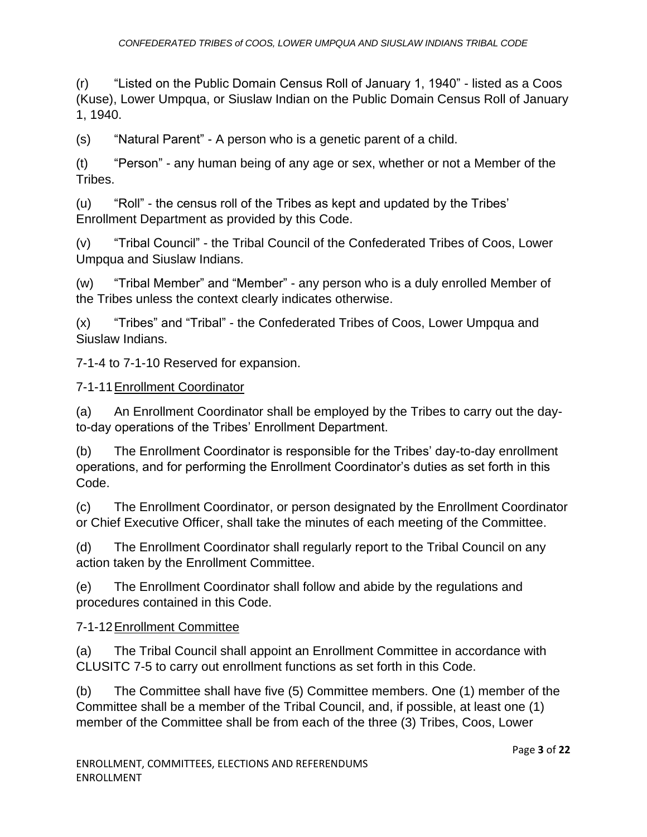(r) "Listed on the Public Domain Census Roll of January 1, 1940" - listed as a Coos (Kuse), Lower Umpqua, or Siuslaw Indian on the Public Domain Census Roll of January 1, 1940.

(s) "Natural Parent" - A person who is a genetic parent of a child.

(t) "Person" - any human being of any age or sex, whether or not a Member of the Tribes.

(u) "Roll" - the census roll of the Tribes as kept and updated by the Tribes' Enrollment Department as provided by this Code.

(v) "Tribal Council" - the Tribal Council of the Confederated Tribes of Coos, Lower Umpqua and Siuslaw Indians.

(w) "Tribal Member" and "Member" - any person who is a duly enrolled Member of the Tribes unless the context clearly indicates otherwise.

(x) "Tribes" and "Tribal" - the Confederated Tribes of Coos, Lower Umpqua and Siuslaw Indians.

7-1-4 to 7-1-10 Reserved for expansion.

## 7-1-11Enrollment Coordinator

(a) An Enrollment Coordinator shall be employed by the Tribes to carry out the dayto-day operations of the Tribes' Enrollment Department.

(b) The Enrollment Coordinator is responsible for the Tribes' day-to-day enrollment operations, and for performing the Enrollment Coordinator's duties as set forth in this Code.

(c) The Enrollment Coordinator, or person designated by the Enrollment Coordinator or Chief Executive Officer, shall take the minutes of each meeting of the Committee.

(d) The Enrollment Coordinator shall regularly report to the Tribal Council on any action taken by the Enrollment Committee.

(e) The Enrollment Coordinator shall follow and abide by the regulations and procedures contained in this Code.

# 7-1-12Enrollment Committee

(a) The Tribal Council shall appoint an Enrollment Committee in accordance with CLUSITC 7-5 to carry out enrollment functions as set forth in this Code.

(b) The Committee shall have five (5) Committee members. One (1) member of the Committee shall be a member of the Tribal Council, and, if possible, at least one (1) member of the Committee shall be from each of the three (3) Tribes, Coos, Lower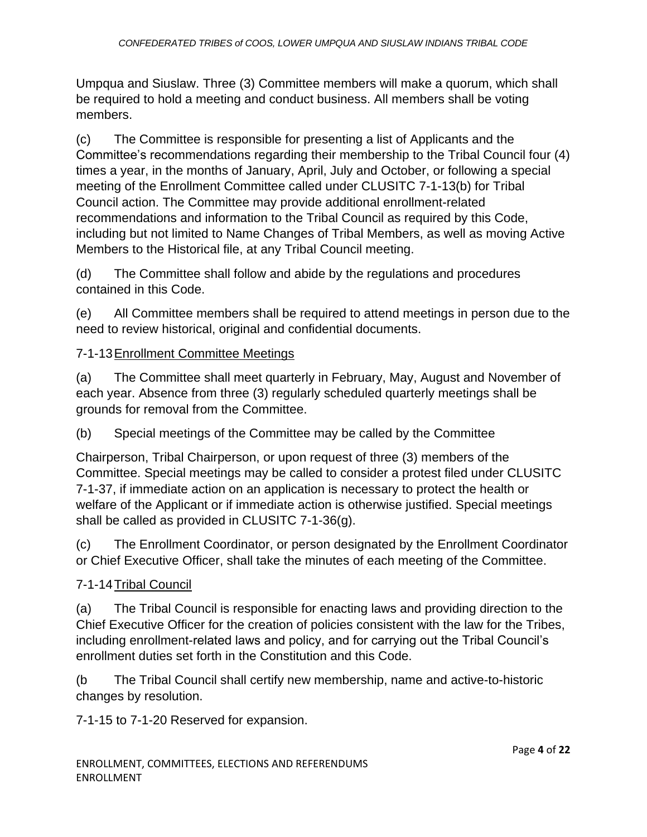Umpqua and Siuslaw. Three (3) Committee members will make a quorum, which shall be required to hold a meeting and conduct business. All members shall be voting members.

(c) The Committee is responsible for presenting a list of Applicants and the Committee's recommendations regarding their membership to the Tribal Council four (4) times a year, in the months of January, April, July and October, or following a special meeting of the Enrollment Committee called under CLUSITC 7-1-13(b) for Tribal Council action. The Committee may provide additional enrollment-related recommendations and information to the Tribal Council as required by this Code, including but not limited to Name Changes of Tribal Members, as well as moving Active Members to the Historical file, at any Tribal Council meeting.

(d) The Committee shall follow and abide by the regulations and procedures contained in this Code.

(e) All Committee members shall be required to attend meetings in person due to the need to review historical, original and confidential documents.

## 7-1-13Enrollment Committee Meetings

(a) The Committee shall meet quarterly in February, May, August and November of each year. Absence from three (3) regularly scheduled quarterly meetings shall be grounds for removal from the Committee.

(b) Special meetings of the Committee may be called by the Committee

Chairperson, Tribal Chairperson, or upon request of three (3) members of the Committee. Special meetings may be called to consider a protest filed under CLUSITC 7-1-37, if immediate action on an application is necessary to protect the health or welfare of the Applicant or if immediate action is otherwise justified. Special meetings shall be called as provided in CLUSITC 7-1-36(g).

(c) The Enrollment Coordinator, or person designated by the Enrollment Coordinator or Chief Executive Officer, shall take the minutes of each meeting of the Committee.

#### 7-1-14Tribal Council

(a) The Tribal Council is responsible for enacting laws and providing direction to the Chief Executive Officer for the creation of policies consistent with the law for the Tribes, including enrollment-related laws and policy, and for carrying out the Tribal Council's enrollment duties set forth in the Constitution and this Code.

(b The Tribal Council shall certify new membership, name and active-to-historic changes by resolution.

7-1-15 to 7-1-20 Reserved for expansion.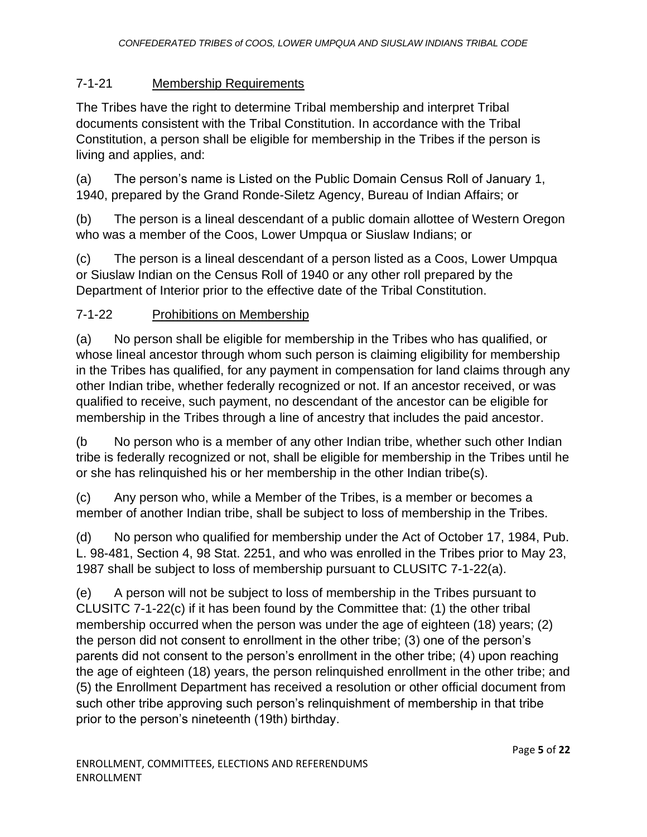# 7-1-21 Membership Requirements

The Tribes have the right to determine Tribal membership and interpret Tribal documents consistent with the Tribal Constitution. In accordance with the Tribal Constitution, a person shall be eligible for membership in the Tribes if the person is living and applies, and:

(a) The person's name is Listed on the Public Domain Census Roll of January 1, 1940, prepared by the Grand Ronde-Siletz Agency, Bureau of Indian Affairs; or

(b) The person is a lineal descendant of a public domain allottee of Western Oregon who was a member of the Coos, Lower Umpqua or Siuslaw Indians; or

(c) The person is a lineal descendant of a person listed as a Coos, Lower Umpqua or Siuslaw Indian on the Census Roll of 1940 or any other roll prepared by the Department of Interior prior to the effective date of the Tribal Constitution.

## 7-1-22 Prohibitions on Membership

(a) No person shall be eligible for membership in the Tribes who has qualified, or whose lineal ancestor through whom such person is claiming eligibility for membership in the Tribes has qualified, for any payment in compensation for land claims through any other Indian tribe, whether federally recognized or not. If an ancestor received, or was qualified to receive, such payment, no descendant of the ancestor can be eligible for membership in the Tribes through a line of ancestry that includes the paid ancestor.

(b No person who is a member of any other Indian tribe, whether such other Indian tribe is federally recognized or not, shall be eligible for membership in the Tribes until he or she has relinquished his or her membership in the other Indian tribe(s).

(c) Any person who, while a Member of the Tribes, is a member or becomes a member of another Indian tribe, shall be subject to loss of membership in the Tribes.

(d) No person who qualified for membership under the Act of October 17, 1984, Pub. L. 98-481, Section 4, 98 Stat. 2251, and who was enrolled in the Tribes prior to May 23, 1987 shall be subject to loss of membership pursuant to CLUSITC 7-1-22(a).

(e) A person will not be subject to loss of membership in the Tribes pursuant to CLUSITC 7-1-22(c) if it has been found by the Committee that: (1) the other tribal membership occurred when the person was under the age of eighteen (18) years; (2) the person did not consent to enrollment in the other tribe; (3) one of the person's parents did not consent to the person's enrollment in the other tribe; (4) upon reaching the age of eighteen (18) years, the person relinquished enrollment in the other tribe; and (5) the Enrollment Department has received a resolution or other official document from such other tribe approving such person's relinquishment of membership in that tribe prior to the person's nineteenth (19th) birthday.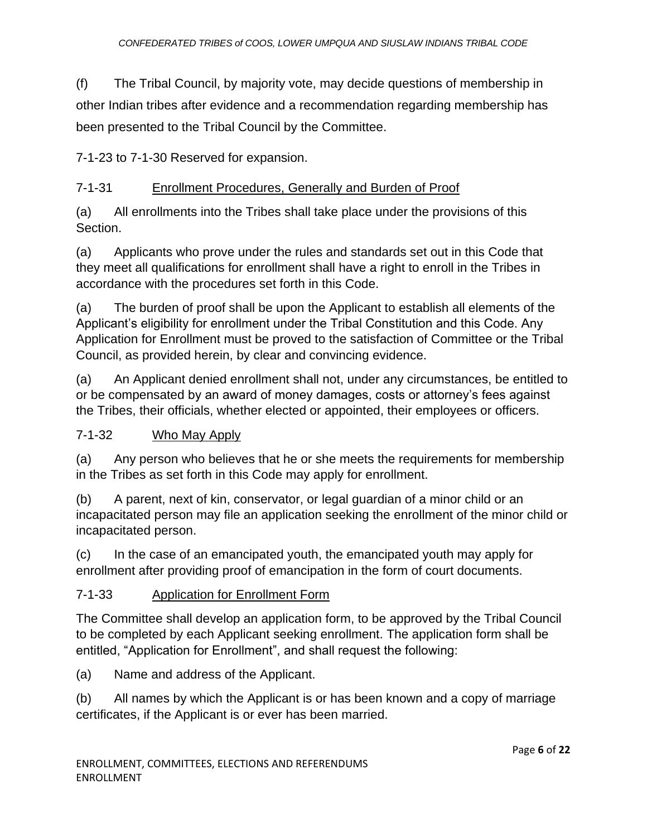(f) The Tribal Council, by majority vote, may decide questions of membership in other Indian tribes after evidence and a recommendation regarding membership has been presented to the Tribal Council by the Committee.

7-1-23 to 7-1-30 Reserved for expansion.

# 7-1-31 Enrollment Procedures, Generally and Burden of Proof

(a) All enrollments into the Tribes shall take place under the provisions of this Section.

(a) Applicants who prove under the rules and standards set out in this Code that they meet all qualifications for enrollment shall have a right to enroll in the Tribes in accordance with the procedures set forth in this Code.

(a) The burden of proof shall be upon the Applicant to establish all elements of the Applicant's eligibility for enrollment under the Tribal Constitution and this Code. Any Application for Enrollment must be proved to the satisfaction of Committee or the Tribal Council, as provided herein, by clear and convincing evidence.

(a) An Applicant denied enrollment shall not, under any circumstances, be entitled to or be compensated by an award of money damages, costs or attorney's fees against the Tribes, their officials, whether elected or appointed, their employees or officers.

#### 7-1-32 Who May Apply

(a) Any person who believes that he or she meets the requirements for membership in the Tribes as set forth in this Code may apply for enrollment.

(b) A parent, next of kin, conservator, or legal guardian of a minor child or an incapacitated person may file an application seeking the enrollment of the minor child or incapacitated person.

(c) In the case of an emancipated youth, the emancipated youth may apply for enrollment after providing proof of emancipation in the form of court documents.

#### 7-1-33 Application for Enrollment Form

The Committee shall develop an application form, to be approved by the Tribal Council to be completed by each Applicant seeking enrollment. The application form shall be entitled, "Application for Enrollment", and shall request the following:

(a) Name and address of the Applicant.

(b) All names by which the Applicant is or has been known and a copy of marriage certificates, if the Applicant is or ever has been married.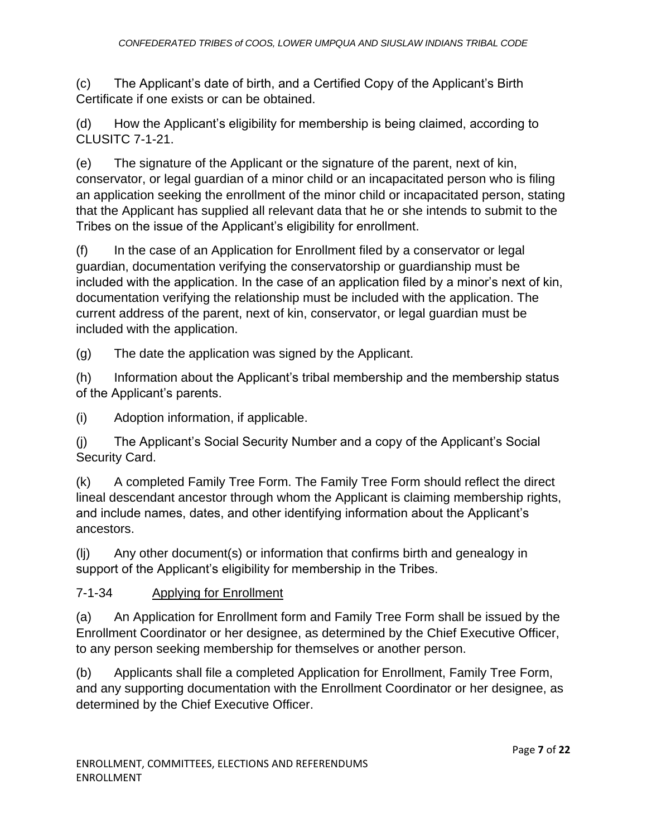(c) The Applicant's date of birth, and a Certified Copy of the Applicant's Birth Certificate if one exists or can be obtained.

(d) How the Applicant's eligibility for membership is being claimed, according to CLUSITC 7-1-21.

(e) The signature of the Applicant or the signature of the parent, next of kin, conservator, or legal guardian of a minor child or an incapacitated person who is filing an application seeking the enrollment of the minor child or incapacitated person, stating that the Applicant has supplied all relevant data that he or she intends to submit to the Tribes on the issue of the Applicant's eligibility for enrollment.

(f) In the case of an Application for Enrollment filed by a conservator or legal guardian, documentation verifying the conservatorship or guardianship must be included with the application. In the case of an application filed by a minor's next of kin, documentation verifying the relationship must be included with the application. The current address of the parent, next of kin, conservator, or legal guardian must be included with the application.

(g) The date the application was signed by the Applicant.

(h) Information about the Applicant's tribal membership and the membership status of the Applicant's parents.

(i) Adoption information, if applicable.

(j) The Applicant's Social Security Number and a copy of the Applicant's Social Security Card.

(k) A completed Family Tree Form. The Family Tree Form should reflect the direct lineal descendant ancestor through whom the Applicant is claiming membership rights, and include names, dates, and other identifying information about the Applicant's ancestors.

(lj) Any other document(s) or information that confirms birth and genealogy in support of the Applicant's eligibility for membership in the Tribes.

# 7-1-34 Applying for Enrollment

(a) An Application for Enrollment form and Family Tree Form shall be issued by the Enrollment Coordinator or her designee, as determined by the Chief Executive Officer, to any person seeking membership for themselves or another person.

(b) Applicants shall file a completed Application for Enrollment, Family Tree Form, and any supporting documentation with the Enrollment Coordinator or her designee, as determined by the Chief Executive Officer.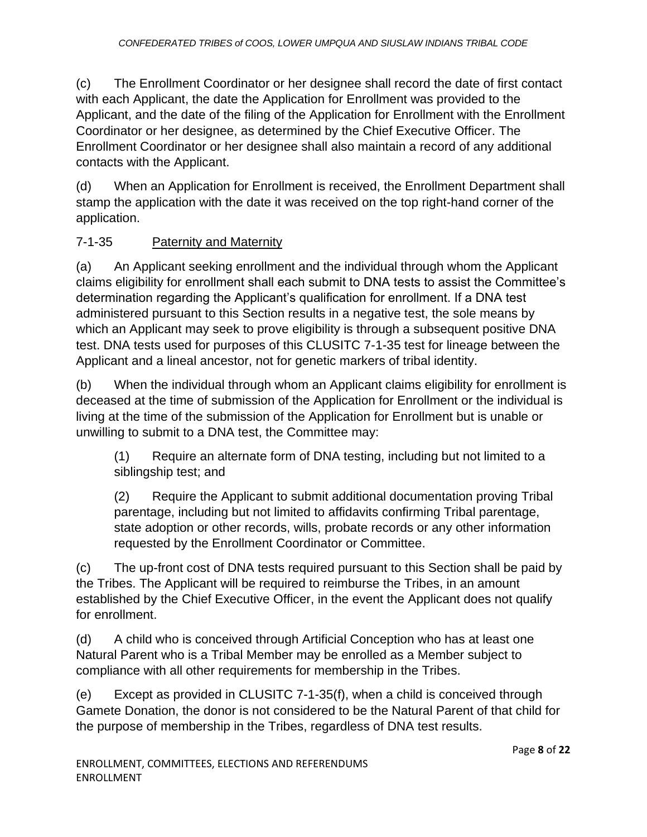(c) The Enrollment Coordinator or her designee shall record the date of first contact with each Applicant, the date the Application for Enrollment was provided to the Applicant, and the date of the filing of the Application for Enrollment with the Enrollment Coordinator or her designee, as determined by the Chief Executive Officer. The Enrollment Coordinator or her designee shall also maintain a record of any additional contacts with the Applicant.

(d) When an Application for Enrollment is received, the Enrollment Department shall stamp the application with the date it was received on the top right-hand corner of the application.

# 7-1-35 Paternity and Maternity

(a) An Applicant seeking enrollment and the individual through whom the Applicant claims eligibility for enrollment shall each submit to DNA tests to assist the Committee's determination regarding the Applicant's qualification for enrollment. If a DNA test administered pursuant to this Section results in a negative test, the sole means by which an Applicant may seek to prove eligibility is through a subsequent positive DNA test. DNA tests used for purposes of this CLUSITC 7-1-35 test for lineage between the Applicant and a lineal ancestor, not for genetic markers of tribal identity.

(b) When the individual through whom an Applicant claims eligibility for enrollment is deceased at the time of submission of the Application for Enrollment or the individual is living at the time of the submission of the Application for Enrollment but is unable or unwilling to submit to a DNA test, the Committee may:

(1) Require an alternate form of DNA testing, including but not limited to a siblingship test; and

(2) Require the Applicant to submit additional documentation proving Tribal parentage, including but not limited to affidavits confirming Tribal parentage, state adoption or other records, wills, probate records or any other information requested by the Enrollment Coordinator or Committee.

(c) The up-front cost of DNA tests required pursuant to this Section shall be paid by the Tribes. The Applicant will be required to reimburse the Tribes, in an amount established by the Chief Executive Officer, in the event the Applicant does not qualify for enrollment.

(d) A child who is conceived through Artificial Conception who has at least one Natural Parent who is a Tribal Member may be enrolled as a Member subject to compliance with all other requirements for membership in the Tribes.

(e) Except as provided in CLUSITC 7-1-35(f), when a child is conceived through Gamete Donation, the donor is not considered to be the Natural Parent of that child for the purpose of membership in the Tribes, regardless of DNA test results.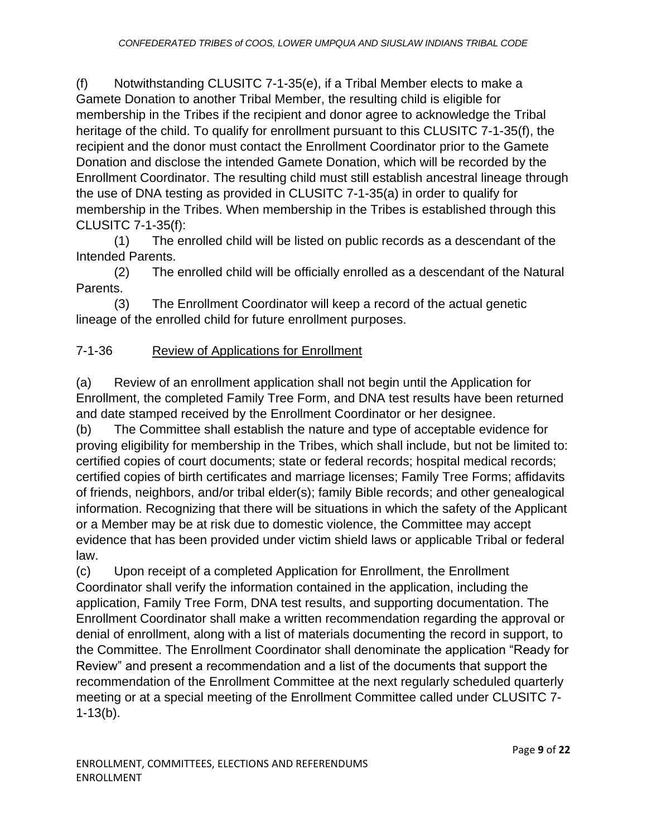(f) Notwithstanding CLUSITC 7-1-35(e), if a Tribal Member elects to make a Gamete Donation to another Tribal Member, the resulting child is eligible for membership in the Tribes if the recipient and donor agree to acknowledge the Tribal heritage of the child. To qualify for enrollment pursuant to this CLUSITC 7-1-35(f), the recipient and the donor must contact the Enrollment Coordinator prior to the Gamete Donation and disclose the intended Gamete Donation, which will be recorded by the Enrollment Coordinator. The resulting child must still establish ancestral lineage through the use of DNA testing as provided in CLUSITC 7-1-35(a) in order to qualify for membership in the Tribes. When membership in the Tribes is established through this CLUSITC 7-1-35(f):

(1) The enrolled child will be listed on public records as a descendant of the Intended Parents.

(2) The enrolled child will be officially enrolled as a descendant of the Natural Parents.

(3) The Enrollment Coordinator will keep a record of the actual genetic lineage of the enrolled child for future enrollment purposes.

# 7-1-36 Review of Applications for Enrollment

(a) Review of an enrollment application shall not begin until the Application for Enrollment, the completed Family Tree Form, and DNA test results have been returned and date stamped received by the Enrollment Coordinator or her designee.

(b) The Committee shall establish the nature and type of acceptable evidence for proving eligibility for membership in the Tribes, which shall include, but not be limited to: certified copies of court documents; state or federal records; hospital medical records; certified copies of birth certificates and marriage licenses; Family Tree Forms; affidavits of friends, neighbors, and/or tribal elder(s); family Bible records; and other genealogical information. Recognizing that there will be situations in which the safety of the Applicant or a Member may be at risk due to domestic violence, the Committee may accept evidence that has been provided under victim shield laws or applicable Tribal or federal law.

(c) Upon receipt of a completed Application for Enrollment, the Enrollment Coordinator shall verify the information contained in the application, including the application, Family Tree Form, DNA test results, and supporting documentation. The Enrollment Coordinator shall make a written recommendation regarding the approval or denial of enrollment, along with a list of materials documenting the record in support, to the Committee. The Enrollment Coordinator shall denominate the application "Ready for Review" and present a recommendation and a list of the documents that support the recommendation of the Enrollment Committee at the next regularly scheduled quarterly meeting or at a special meeting of the Enrollment Committee called under CLUSITC 7- 1-13(b).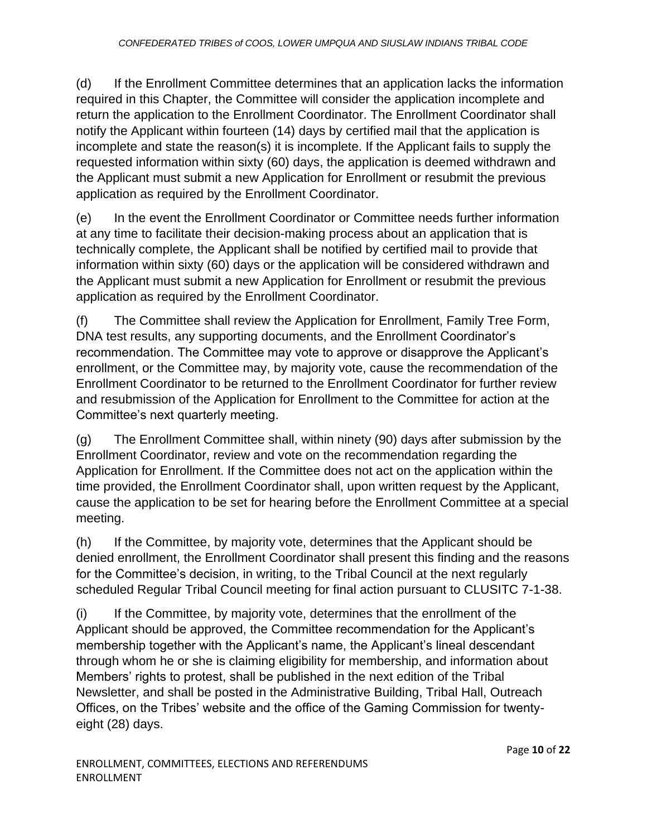(d) If the Enrollment Committee determines that an application lacks the information required in this Chapter, the Committee will consider the application incomplete and return the application to the Enrollment Coordinator. The Enrollment Coordinator shall notify the Applicant within fourteen (14) days by certified mail that the application is incomplete and state the reason(s) it is incomplete. If the Applicant fails to supply the requested information within sixty (60) days, the application is deemed withdrawn and the Applicant must submit a new Application for Enrollment or resubmit the previous application as required by the Enrollment Coordinator.

(e) In the event the Enrollment Coordinator or Committee needs further information at any time to facilitate their decision-making process about an application that is technically complete, the Applicant shall be notified by certified mail to provide that information within sixty (60) days or the application will be considered withdrawn and the Applicant must submit a new Application for Enrollment or resubmit the previous application as required by the Enrollment Coordinator.

(f) The Committee shall review the Application for Enrollment, Family Tree Form, DNA test results, any supporting documents, and the Enrollment Coordinator's recommendation. The Committee may vote to approve or disapprove the Applicant's enrollment, or the Committee may, by majority vote, cause the recommendation of the Enrollment Coordinator to be returned to the Enrollment Coordinator for further review and resubmission of the Application for Enrollment to the Committee for action at the Committee's next quarterly meeting.

(g) The Enrollment Committee shall, within ninety (90) days after submission by the Enrollment Coordinator, review and vote on the recommendation regarding the Application for Enrollment. If the Committee does not act on the application within the time provided, the Enrollment Coordinator shall, upon written request by the Applicant, cause the application to be set for hearing before the Enrollment Committee at a special meeting.

(h) If the Committee, by majority vote, determines that the Applicant should be denied enrollment, the Enrollment Coordinator shall present this finding and the reasons for the Committee's decision, in writing, to the Tribal Council at the next regularly scheduled Regular Tribal Council meeting for final action pursuant to CLUSITC 7-1-38.

(i) If the Committee, by majority vote, determines that the enrollment of the Applicant should be approved, the Committee recommendation for the Applicant's membership together with the Applicant's name, the Applicant's lineal descendant through whom he or she is claiming eligibility for membership, and information about Members' rights to protest, shall be published in the next edition of the Tribal Newsletter, and shall be posted in the Administrative Building, Tribal Hall, Outreach Offices, on the Tribes' website and the office of the Gaming Commission for twentyeight (28) days.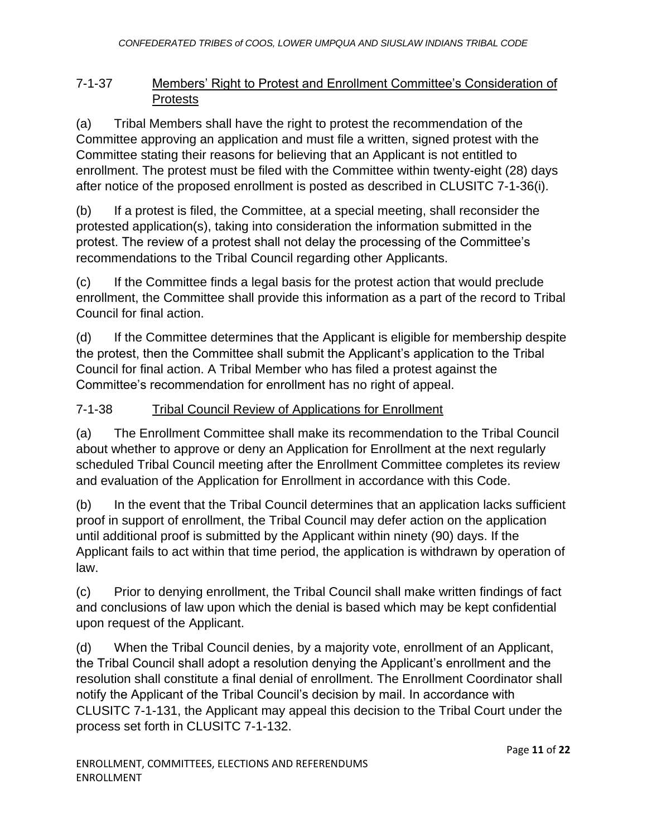# 7-1-37 Members' Right to Protest and Enrollment Committee's Consideration of **Protests**

(a) Tribal Members shall have the right to protest the recommendation of the Committee approving an application and must file a written, signed protest with the Committee stating their reasons for believing that an Applicant is not entitled to enrollment. The protest must be filed with the Committee within twenty-eight (28) days after notice of the proposed enrollment is posted as described in CLUSITC 7-1-36(i).

(b) If a protest is filed, the Committee, at a special meeting, shall reconsider the protested application(s), taking into consideration the information submitted in the protest. The review of a protest shall not delay the processing of the Committee's recommendations to the Tribal Council regarding other Applicants.

(c) If the Committee finds a legal basis for the protest action that would preclude enrollment, the Committee shall provide this information as a part of the record to Tribal Council for final action.

(d) If the Committee determines that the Applicant is eligible for membership despite the protest, then the Committee shall submit the Applicant's application to the Tribal Council for final action. A Tribal Member who has filed a protest against the Committee's recommendation for enrollment has no right of appeal.

# 7-1-38 Tribal Council Review of Applications for Enrollment

(a) The Enrollment Committee shall make its recommendation to the Tribal Council about whether to approve or deny an Application for Enrollment at the next regularly scheduled Tribal Council meeting after the Enrollment Committee completes its review and evaluation of the Application for Enrollment in accordance with this Code.

(b) In the event that the Tribal Council determines that an application lacks sufficient proof in support of enrollment, the Tribal Council may defer action on the application until additional proof is submitted by the Applicant within ninety (90) days. If the Applicant fails to act within that time period, the application is withdrawn by operation of law.

(c) Prior to denying enrollment, the Tribal Council shall make written findings of fact and conclusions of law upon which the denial is based which may be kept confidential upon request of the Applicant.

(d) When the Tribal Council denies, by a majority vote, enrollment of an Applicant, the Tribal Council shall adopt a resolution denying the Applicant's enrollment and the resolution shall constitute a final denial of enrollment. The Enrollment Coordinator shall notify the Applicant of the Tribal Council's decision by mail. In accordance with CLUSITC 7-1-131, the Applicant may appeal this decision to the Tribal Court under the process set forth in CLUSITC 7-1-132.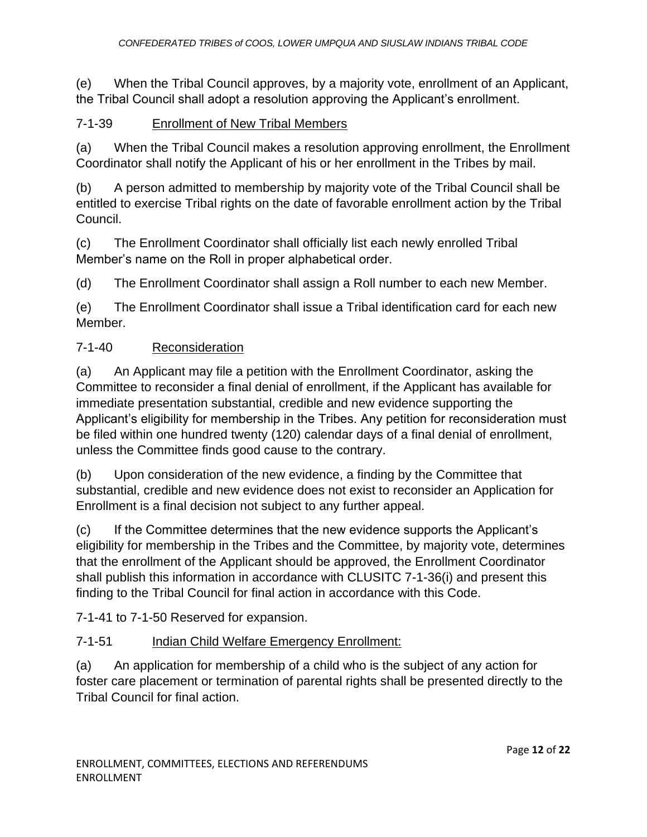(e) When the Tribal Council approves, by a majority vote, enrollment of an Applicant, the Tribal Council shall adopt a resolution approving the Applicant's enrollment.

# 7-1-39 Enrollment of New Tribal Members

(a) When the Tribal Council makes a resolution approving enrollment, the Enrollment Coordinator shall notify the Applicant of his or her enrollment in the Tribes by mail.

(b) A person admitted to membership by majority vote of the Tribal Council shall be entitled to exercise Tribal rights on the date of favorable enrollment action by the Tribal Council.

(c) The Enrollment Coordinator shall officially list each newly enrolled Tribal Member's name on the Roll in proper alphabetical order.

(d) The Enrollment Coordinator shall assign a Roll number to each new Member.

(e) The Enrollment Coordinator shall issue a Tribal identification card for each new Member.

## 7-1-40 Reconsideration

(a) An Applicant may file a petition with the Enrollment Coordinator, asking the Committee to reconsider a final denial of enrollment, if the Applicant has available for immediate presentation substantial, credible and new evidence supporting the Applicant's eligibility for membership in the Tribes. Any petition for reconsideration must be filed within one hundred twenty (120) calendar days of a final denial of enrollment, unless the Committee finds good cause to the contrary.

(b) Upon consideration of the new evidence, a finding by the Committee that substantial, credible and new evidence does not exist to reconsider an Application for Enrollment is a final decision not subject to any further appeal.

(c) If the Committee determines that the new evidence supports the Applicant's eligibility for membership in the Tribes and the Committee, by majority vote, determines that the enrollment of the Applicant should be approved, the Enrollment Coordinator shall publish this information in accordance with CLUSITC 7-1-36(i) and present this finding to the Tribal Council for final action in accordance with this Code.

7-1-41 to 7-1-50 Reserved for expansion.

# 7-1-51 Indian Child Welfare Emergency Enrollment:

(a) An application for membership of a child who is the subject of any action for foster care placement or termination of parental rights shall be presented directly to the Tribal Council for final action.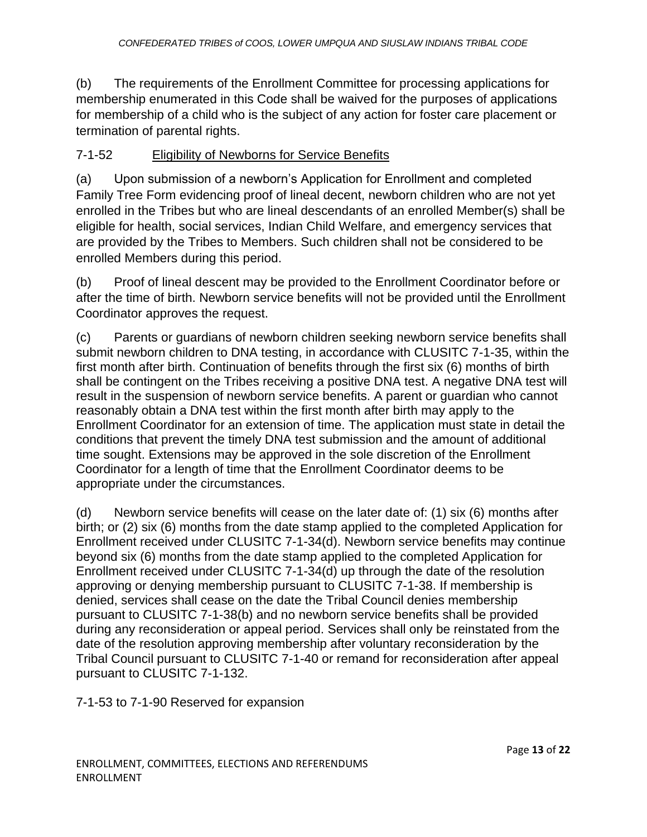(b) The requirements of the Enrollment Committee for processing applications for membership enumerated in this Code shall be waived for the purposes of applications for membership of a child who is the subject of any action for foster care placement or termination of parental rights.

#### 7-1-52 Eligibility of Newborns for Service Benefits

(a) Upon submission of a newborn's Application for Enrollment and completed Family Tree Form evidencing proof of lineal decent, newborn children who are not yet enrolled in the Tribes but who are lineal descendants of an enrolled Member(s) shall be eligible for health, social services, Indian Child Welfare, and emergency services that are provided by the Tribes to Members. Such children shall not be considered to be enrolled Members during this period.

(b) Proof of lineal descent may be provided to the Enrollment Coordinator before or after the time of birth. Newborn service benefits will not be provided until the Enrollment Coordinator approves the request.

(c) Parents or guardians of newborn children seeking newborn service benefits shall submit newborn children to DNA testing, in accordance with CLUSITC 7-1-35, within the first month after birth. Continuation of benefits through the first six (6) months of birth shall be contingent on the Tribes receiving a positive DNA test. A negative DNA test will result in the suspension of newborn service benefits. A parent or guardian who cannot reasonably obtain a DNA test within the first month after birth may apply to the Enrollment Coordinator for an extension of time. The application must state in detail the conditions that prevent the timely DNA test submission and the amount of additional time sought. Extensions may be approved in the sole discretion of the Enrollment Coordinator for a length of time that the Enrollment Coordinator deems to be appropriate under the circumstances.

(d) Newborn service benefits will cease on the later date of: (1) six (6) months after birth; or (2) six (6) months from the date stamp applied to the completed Application for Enrollment received under CLUSITC 7-1-34(d). Newborn service benefits may continue beyond six (6) months from the date stamp applied to the completed Application for Enrollment received under CLUSITC 7-1-34(d) up through the date of the resolution approving or denying membership pursuant to CLUSITC 7-1-38. If membership is denied, services shall cease on the date the Tribal Council denies membership pursuant to CLUSITC 7-1-38(b) and no newborn service benefits shall be provided during any reconsideration or appeal period. Services shall only be reinstated from the date of the resolution approving membership after voluntary reconsideration by the Tribal Council pursuant to CLUSITC 7-1-40 or remand for reconsideration after appeal pursuant to CLUSITC 7-1-132.

7-1-53 to 7-1-90 Reserved for expansion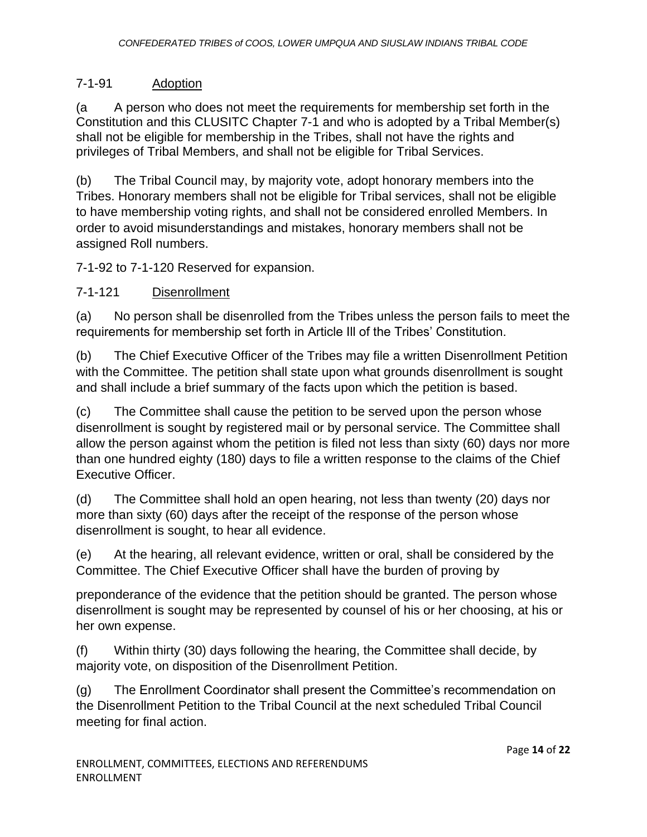# 7-1-91 Adoption

(a A person who does not meet the requirements for membership set forth in the Constitution and this CLUSITC Chapter 7-1 and who is adopted by a Tribal Member(s) shall not be eligible for membership in the Tribes, shall not have the rights and privileges of Tribal Members, and shall not be eligible for Tribal Services.

(b) The Tribal Council may, by majority vote, adopt honorary members into the Tribes. Honorary members shall not be eligible for Tribal services, shall not be eligible to have membership voting rights, and shall not be considered enrolled Members. In order to avoid misunderstandings and mistakes, honorary members shall not be assigned Roll numbers.

7-1-92 to 7-1-120 Reserved for expansion.

## 7-1-121 Disenrollment

(a) No person shall be disenrolled from the Tribes unless the person fails to meet the requirements for membership set forth in Article Ill of the Tribes' Constitution.

(b) The Chief Executive Officer of the Tribes may file a written Disenrollment Petition with the Committee. The petition shall state upon what grounds disenrollment is sought and shall include a brief summary of the facts upon which the petition is based.

(c) The Committee shall cause the petition to be served upon the person whose disenrollment is sought by registered mail or by personal service. The Committee shall allow the person against whom the petition is filed not less than sixty (60) days nor more than one hundred eighty (180) days to file a written response to the claims of the Chief Executive Officer.

(d) The Committee shall hold an open hearing, not less than twenty (20) days nor more than sixty (60) days after the receipt of the response of the person whose disenrollment is sought, to hear all evidence.

(e) At the hearing, all relevant evidence, written or oral, shall be considered by the Committee. The Chief Executive Officer shall have the burden of proving by

preponderance of the evidence that the petition should be granted. The person whose disenrollment is sought may be represented by counsel of his or her choosing, at his or her own expense.

(f) Within thirty (30) days following the hearing, the Committee shall decide, by majority vote, on disposition of the Disenrollment Petition.

(g) The Enrollment Coordinator shall present the Committee's recommendation on the Disenrollment Petition to the Tribal Council at the next scheduled Tribal Council meeting for final action.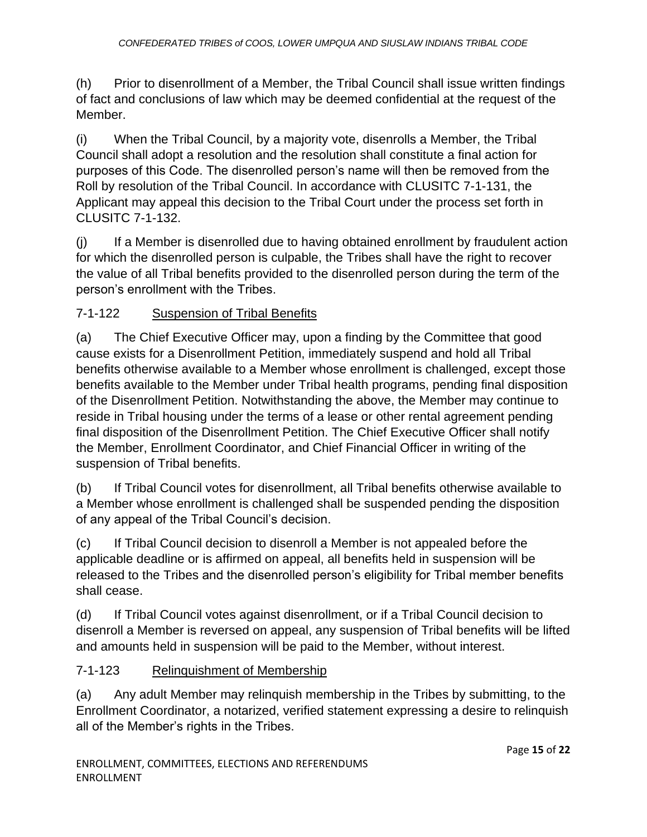(h) Prior to disenrollment of a Member, the Tribal Council shall issue written findings of fact and conclusions of law which may be deemed confidential at the request of the Member.

(i) When the Tribal Council, by a majority vote, disenrolls a Member, the Tribal Council shall adopt a resolution and the resolution shall constitute a final action for purposes of this Code. The disenrolled person's name will then be removed from the Roll by resolution of the Tribal Council. In accordance with CLUSITC 7-1-131, the Applicant may appeal this decision to the Tribal Court under the process set forth in CLUSITC 7-1-132.

(j) If a Member is disenrolled due to having obtained enrollment by fraudulent action for which the disenrolled person is culpable, the Tribes shall have the right to recover the value of all Tribal benefits provided to the disenrolled person during the term of the person's enrollment with the Tribes.

# 7-1-122 Suspension of Tribal Benefits

(a) The Chief Executive Officer may, upon a finding by the Committee that good cause exists for a Disenrollment Petition, immediately suspend and hold all Tribal benefits otherwise available to a Member whose enrollment is challenged, except those benefits available to the Member under Tribal health programs, pending final disposition of the Disenrollment Petition. Notwithstanding the above, the Member may continue to reside in Tribal housing under the terms of a lease or other rental agreement pending final disposition of the Disenrollment Petition. The Chief Executive Officer shall notify the Member, Enrollment Coordinator, and Chief Financial Officer in writing of the suspension of Tribal benefits.

(b) If Tribal Council votes for disenrollment, all Tribal benefits otherwise available to a Member whose enrollment is challenged shall be suspended pending the disposition of any appeal of the Tribal Council's decision.

(c) If Tribal Council decision to disenroll a Member is not appealed before the applicable deadline or is affirmed on appeal, all benefits held in suspension will be released to the Tribes and the disenrolled person's eligibility for Tribal member benefits shall cease.

(d) If Tribal Council votes against disenrollment, or if a Tribal Council decision to disenroll a Member is reversed on appeal, any suspension of Tribal benefits will be lifted and amounts held in suspension will be paid to the Member, without interest.

#### 7-1-123 Relinquishment of Membership

(a) Any adult Member may relinquish membership in the Tribes by submitting, to the Enrollment Coordinator, a notarized, verified statement expressing a desire to relinquish all of the Member's rights in the Tribes.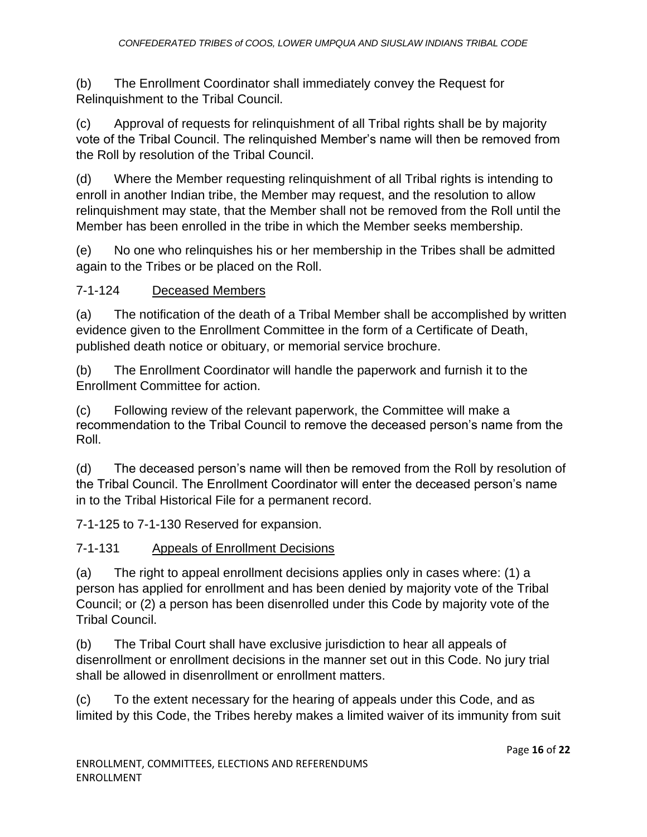(b) The Enrollment Coordinator shall immediately convey the Request for Relinquishment to the Tribal Council.

(c) Approval of requests for relinquishment of all Tribal rights shall be by majority vote of the Tribal Council. The relinquished Member's name will then be removed from the Roll by resolution of the Tribal Council.

(d) Where the Member requesting relinquishment of all Tribal rights is intending to enroll in another Indian tribe, the Member may request, and the resolution to allow relinquishment may state, that the Member shall not be removed from the Roll until the Member has been enrolled in the tribe in which the Member seeks membership.

(e) No one who relinquishes his or her membership in the Tribes shall be admitted again to the Tribes or be placed on the Roll.

## 7-1-124 Deceased Members

(a) The notification of the death of a Tribal Member shall be accomplished by written evidence given to the Enrollment Committee in the form of a Certificate of Death, published death notice or obituary, or memorial service brochure.

(b) The Enrollment Coordinator will handle the paperwork and furnish it to the Enrollment Committee for action.

(c) Following review of the relevant paperwork, the Committee will make a recommendation to the Tribal Council to remove the deceased person's name from the Roll.

(d) The deceased person's name will then be removed from the Roll by resolution of the Tribal Council. The Enrollment Coordinator will enter the deceased person's name in to the Tribal Historical File for a permanent record.

7-1-125 to 7-1-130 Reserved for expansion.

7-1-131 Appeals of Enrollment Decisions

(a) The right to appeal enrollment decisions applies only in cases where: (1) a person has applied for enrollment and has been denied by majority vote of the Tribal Council; or (2) a person has been disenrolled under this Code by majority vote of the Tribal Council.

(b) The Tribal Court shall have exclusive jurisdiction to hear all appeals of disenrollment or enrollment decisions in the manner set out in this Code. No jury trial shall be allowed in disenrollment or enrollment matters.

(c) To the extent necessary for the hearing of appeals under this Code, and as limited by this Code, the Tribes hereby makes a limited waiver of its immunity from suit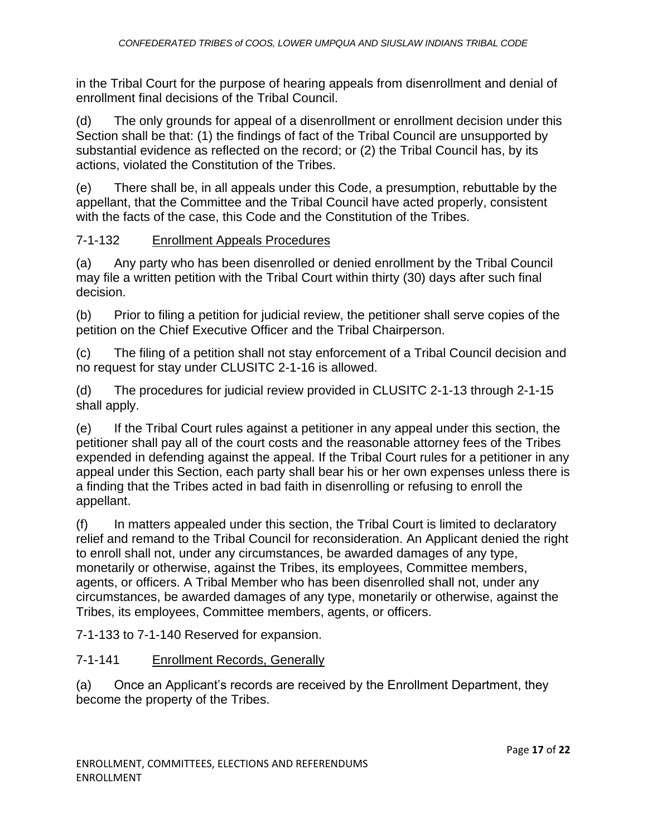in the Tribal Court for the purpose of hearing appeals from disenrollment and denial of enrollment final decisions of the Tribal Council.

(d) The only grounds for appeal of a disenrollment or enrollment decision under this Section shall be that: (1) the findings of fact of the Tribal Council are unsupported by substantial evidence as reflected on the record; or (2) the Tribal Council has, by its actions, violated the Constitution of the Tribes.

(e) There shall be, in all appeals under this Code, a presumption, rebuttable by the appellant, that the Committee and the Tribal Council have acted properly, consistent with the facts of the case, this Code and the Constitution of the Tribes.

## 7-1-132 Enrollment Appeals Procedures

(a) Any party who has been disenrolled or denied enrollment by the Tribal Council may file a written petition with the Tribal Court within thirty (30) days after such final decision.

(b) Prior to filing a petition for judicial review, the petitioner shall serve copies of the petition on the Chief Executive Officer and the Tribal Chairperson.

(c) The filing of a petition shall not stay enforcement of a Tribal Council decision and no request for stay under CLUSITC 2-1-16 is allowed.

(d) The procedures for judicial review provided in CLUSITC 2-1-13 through 2-1-15 shall apply.

(e) If the Tribal Court rules against a petitioner in any appeal under this section, the petitioner shall pay all of the court costs and the reasonable attorney fees of the Tribes expended in defending against the appeal. If the Tribal Court rules for a petitioner in any appeal under this Section, each party shall bear his or her own expenses unless there is a finding that the Tribes acted in bad faith in disenrolling or refusing to enroll the appellant.

(f) In matters appealed under this section, the Tribal Court is limited to declaratory relief and remand to the Tribal Council for reconsideration. An Applicant denied the right to enroll shall not, under any circumstances, be awarded damages of any type, monetarily or otherwise, against the Tribes, its employees, Committee members, agents, or officers. A Tribal Member who has been disenrolled shall not, under any circumstances, be awarded damages of any type, monetarily or otherwise, against the Tribes, its employees, Committee members, agents, or officers.

7-1-133 to 7-1-140 Reserved for expansion.

#### 7-1-141 Enrollment Records, Generally

(a) Once an Applicant's records are received by the Enrollment Department, they become the property of the Tribes.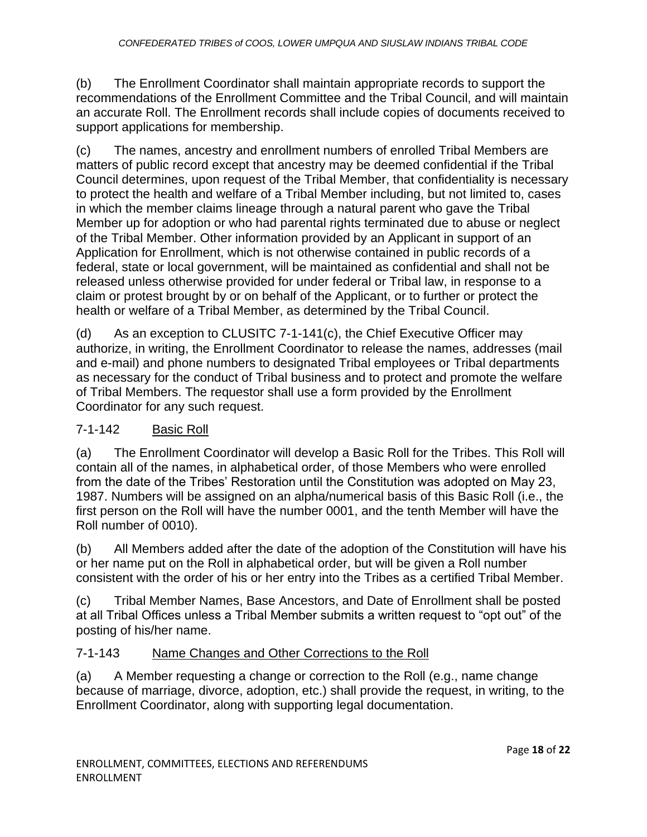(b) The Enrollment Coordinator shall maintain appropriate records to support the recommendations of the Enrollment Committee and the Tribal Council, and will maintain an accurate Roll. The Enrollment records shall include copies of documents received to support applications for membership.

(c) The names, ancestry and enrollment numbers of enrolled Tribal Members are matters of public record except that ancestry may be deemed confidential if the Tribal Council determines, upon request of the Tribal Member, that confidentiality is necessary to protect the health and welfare of a Tribal Member including, but not limited to, cases in which the member claims lineage through a natural parent who gave the Tribal Member up for adoption or who had parental rights terminated due to abuse or neglect of the Tribal Member. Other information provided by an Applicant in support of an Application for Enrollment, which is not otherwise contained in public records of a federal, state or local government, will be maintained as confidential and shall not be released unless otherwise provided for under federal or Tribal law, in response to a claim or protest brought by or on behalf of the Applicant, or to further or protect the health or welfare of a Tribal Member, as determined by the Tribal Council.

(d) As an exception to CLUSITC 7-1-141(c), the Chief Executive Officer may authorize, in writing, the Enrollment Coordinator to release the names, addresses (mail and e-mail) and phone numbers to designated Tribal employees or Tribal departments as necessary for the conduct of Tribal business and to protect and promote the welfare of Tribal Members. The requestor shall use a form provided by the Enrollment Coordinator for any such request.

# 7-1-142 Basic Roll

(a) The Enrollment Coordinator will develop a Basic Roll for the Tribes. This Roll will contain all of the names, in alphabetical order, of those Members who were enrolled from the date of the Tribes' Restoration until the Constitution was adopted on May 23, 1987. Numbers will be assigned on an alpha/numerical basis of this Basic Roll (i.e., the first person on the Roll will have the number 0001, and the tenth Member will have the Roll number of 0010).

(b) All Members added after the date of the adoption of the Constitution will have his or her name put on the Roll in alphabetical order, but will be given a Roll number consistent with the order of his or her entry into the Tribes as a certified Tribal Member.

(c) Tribal Member Names, Base Ancestors, and Date of Enrollment shall be posted at all Tribal Offices unless a Tribal Member submits a written request to "opt out" of the posting of his/her name.

#### 7-1-143 Name Changes and Other Corrections to the Roll

(a) A Member requesting a change or correction to the Roll (e.g., name change because of marriage, divorce, adoption, etc.) shall provide the request, in writing, to the Enrollment Coordinator, along with supporting legal documentation.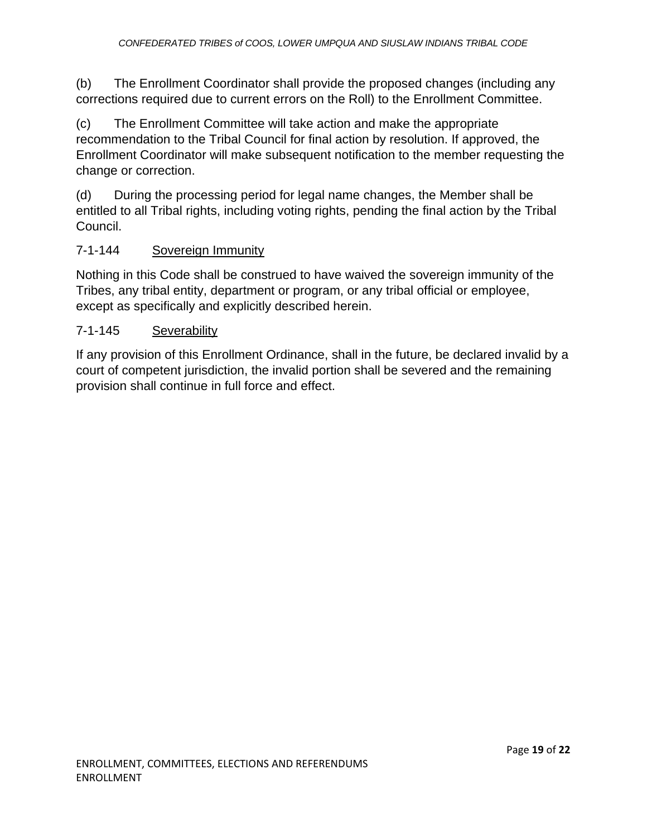(b) The Enrollment Coordinator shall provide the proposed changes (including any corrections required due to current errors on the Roll) to the Enrollment Committee.

(c) The Enrollment Committee will take action and make the appropriate recommendation to the Tribal Council for final action by resolution. If approved, the Enrollment Coordinator will make subsequent notification to the member requesting the change or correction.

(d) During the processing period for legal name changes, the Member shall be entitled to all Tribal rights, including voting rights, pending the final action by the Tribal Council.

#### 7-1-144 Sovereign Immunity

Nothing in this Code shall be construed to have waived the sovereign immunity of the Tribes, any tribal entity, department or program, or any tribal official or employee, except as specifically and explicitly described herein.

#### 7-1-145 Severability

If any provision of this Enrollment Ordinance, shall in the future, be declared invalid by a court of competent jurisdiction, the invalid portion shall be severed and the remaining provision shall continue in full force and effect.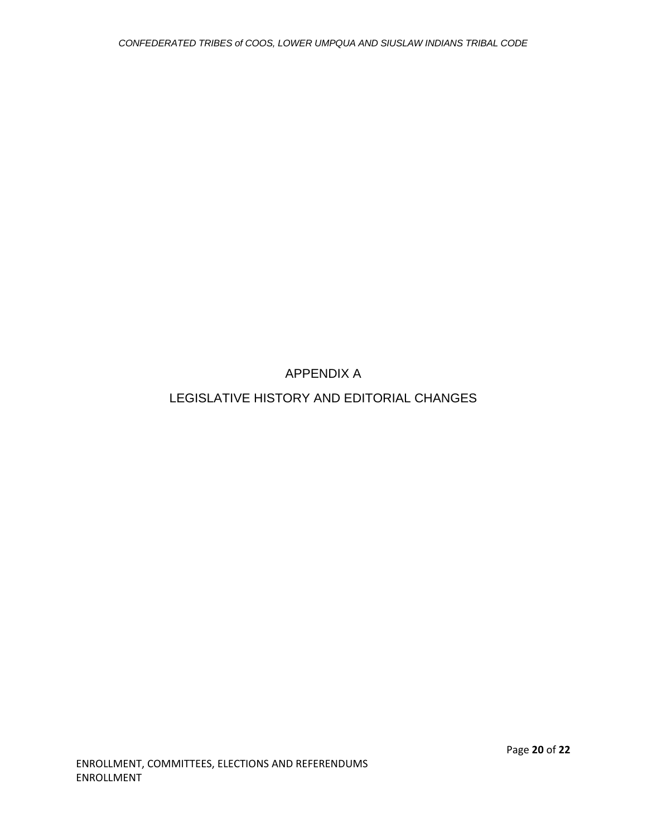APPENDIX A

LEGISLATIVE HISTORY AND EDITORIAL CHANGES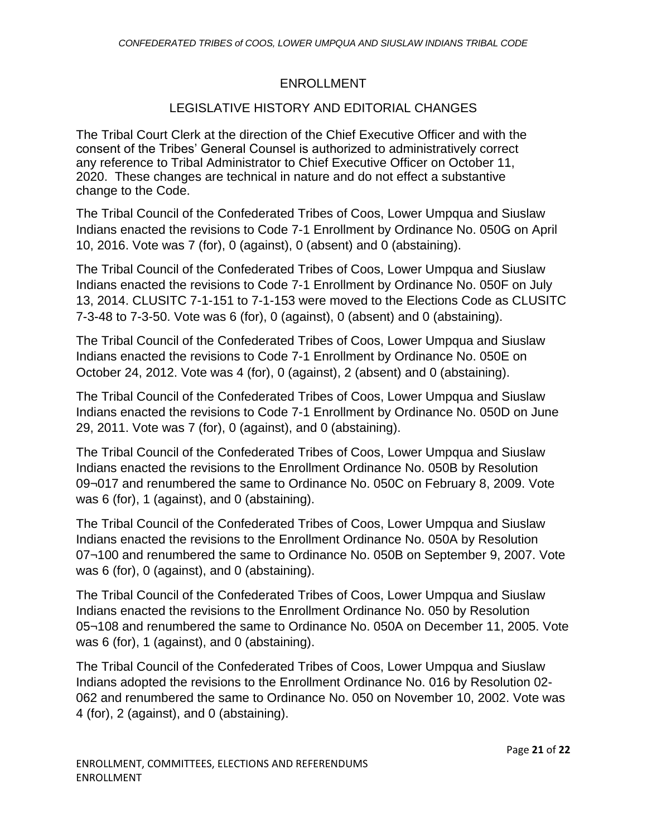#### ENROLLMENT

#### LEGISLATIVE HISTORY AND EDITORIAL CHANGES

The Tribal Court Clerk at the direction of the Chief Executive Officer and with the consent of the Tribes' General Counsel is authorized to administratively correct any reference to Tribal Administrator to Chief Executive Officer on October 11, 2020. These changes are technical in nature and do not effect a substantive change to the Code.

The Tribal Council of the Confederated Tribes of Coos, Lower Umpqua and Siuslaw Indians enacted the revisions to Code 7-1 Enrollment by Ordinance No. 050G on April 10, 2016. Vote was 7 (for), 0 (against), 0 (absent) and 0 (abstaining).

The Tribal Council of the Confederated Tribes of Coos, Lower Umpqua and Siuslaw Indians enacted the revisions to Code 7-1 Enrollment by Ordinance No. 050F on July 13, 2014. CLUSITC 7-1-151 to 7-1-153 were moved to the Elections Code as CLUSITC 7-3-48 to 7-3-50. Vote was 6 (for), 0 (against), 0 (absent) and 0 (abstaining).

The Tribal Council of the Confederated Tribes of Coos, Lower Umpqua and Siuslaw Indians enacted the revisions to Code 7-1 Enrollment by Ordinance No. 050E on October 24, 2012. Vote was 4 (for), 0 (against), 2 (absent) and 0 (abstaining).

The Tribal Council of the Confederated Tribes of Coos, Lower Umpqua and Siuslaw Indians enacted the revisions to Code 7-1 Enrollment by Ordinance No. 050D on June 29, 2011. Vote was 7 (for), 0 (against), and 0 (abstaining).

The Tribal Council of the Confederated Tribes of Coos, Lower Umpqua and Siuslaw Indians enacted the revisions to the Enrollment Ordinance No. 050B by Resolution 09¬017 and renumbered the same to Ordinance No. 050C on February 8, 2009. Vote was 6 (for), 1 (against), and 0 (abstaining).

The Tribal Council of the Confederated Tribes of Coos, Lower Umpqua and Siuslaw Indians enacted the revisions to the Enrollment Ordinance No. 050A by Resolution 07¬100 and renumbered the same to Ordinance No. 050B on September 9, 2007. Vote was 6 (for), 0 (against), and 0 (abstaining).

The Tribal Council of the Confederated Tribes of Coos, Lower Umpqua and Siuslaw Indians enacted the revisions to the Enrollment Ordinance No. 050 by Resolution 05¬108 and renumbered the same to Ordinance No. 050A on December 11, 2005. Vote was 6 (for), 1 (against), and 0 (abstaining).

The Tribal Council of the Confederated Tribes of Coos, Lower Umpqua and Siuslaw Indians adopted the revisions to the Enrollment Ordinance No. 016 by Resolution 02- 062 and renumbered the same to Ordinance No. 050 on November 10, 2002. Vote was 4 (for), 2 (against), and 0 (abstaining).